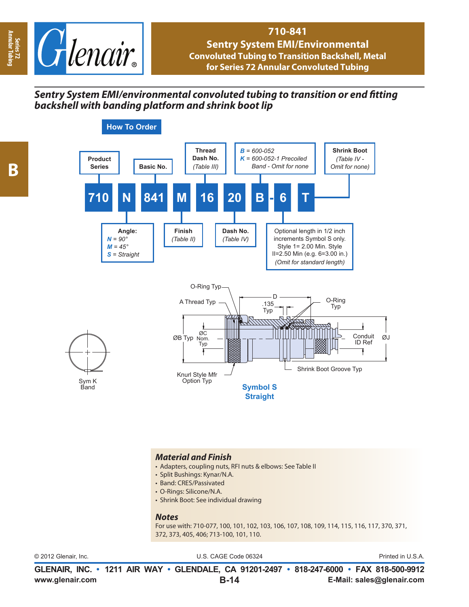

#### **710-841 Sentry System EMI/Environmental Convoluted Tubing to Transition Backshell, Metal for Series 72 Annular Convoluted Tubing**

## **Sentry System EMI/environmental convoluted tubing to transition or end fitting** *backshell with banding platform and shrink boot lip*

**Annular Tubing**



#### *Material and Finish*

- Adapters, coupling nuts, RFI nuts & elbows: See Table II
- Split Bushings: Kynar/N.A.
- Band: CRES/Passivated
- O-Rings: Silicone/N.A.
- Shrink Boot: See individual drawing

#### *Notes*

For use with: 710-077, 100, 101, 102, 103, 106, 107, 108, 109, 114, 115, 116, 117, 370, 371, 372, 373, 405, 406; 713-100, 101, 110.

© 2012 Glenair, Inc. U.S. CAGE Code 06324 Printed in U.S.A.

**www.glenair.com E-Mail: sales@glenair.com GLENAIR, INC. • 1211 AIR WAY • GLENDALE, CA 91201-2497 • 818-247-6000 • FAX 818-500-9912 B-14**